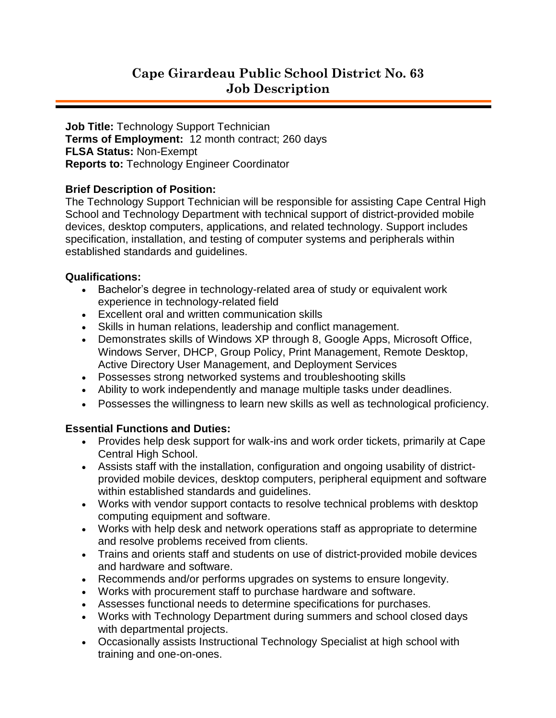# **Cape Girardeau Public School District No. 63 Job Description**

**Job Title:** Technology Support Technician **Terms of Employment:** 12 month contract; 260 days **FLSA Status:** Non-Exempt **Reports to:** Technology Engineer Coordinator

## **Brief Description of Position:**

The Technology Support Technician will be responsible for assisting Cape Central High School and Technology Department with technical support of district-provided mobile devices, desktop computers, applications, and related technology. Support includes specification, installation, and testing of computer systems and peripherals within established standards and guidelines.

## **Qualifications:**

- Bachelor's degree in technology-related area of study or equivalent work experience in technology-related field
- Excellent oral and written communication skills
- Skills in human relations, leadership and conflict management.
- Demonstrates skills of Windows XP through 8, Google Apps, Microsoft Office, Windows Server, DHCP, Group Policy, Print Management, Remote Desktop, Active Directory User Management, and Deployment Services
- Possesses strong networked systems and troubleshooting skills
- Ability to work independently and manage multiple tasks under deadlines.
- Possesses the willingness to learn new skills as well as technological proficiency.

# **Essential Functions and Duties:**

- Provides help desk support for walk-ins and work order tickets, primarily at Cape Central High School.
- Assists staff with the installation, configuration and ongoing usability of districtprovided mobile devices, desktop computers, peripheral equipment and software within established standards and guidelines.
- Works with vendor support contacts to resolve technical problems with desktop computing equipment and software.
- Works with help desk and network operations staff as appropriate to determine and resolve problems received from clients.
- Trains and orients staff and students on use of district-provided mobile devices and hardware and software.
- Recommends and/or performs upgrades on systems to ensure longevity.
- Works with procurement staff to purchase hardware and software.
- Assesses functional needs to determine specifications for purchases.
- Works with Technology Department during summers and school closed days with departmental projects.
- Occasionally assists Instructional Technology Specialist at high school with training and one-on-ones.